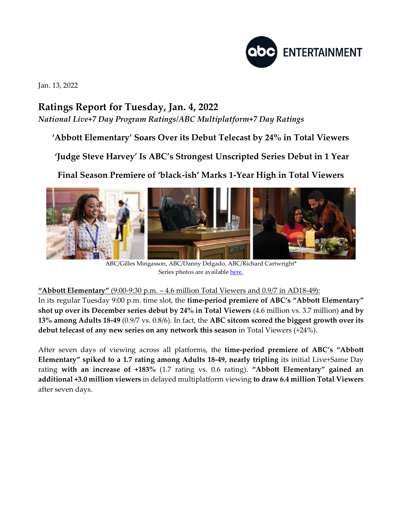

Jan. 13, 2022

## **Ratings Report for Tuesday, Jan. 4, 2022**

*National Live+7 Day Program Ratings/ABC Multiplatform+7 Day Ratings*

**'Abbott Elementary' Soars Over its Debut Telecast by 24% in Total Viewers**

**'Judge Steve Harvey' Is ABC's Strongest Unscripted Series Debut in 1 Year**

**Final Season Premiere of 'black-ish' Marks 1-Year High in Total Viewers**



ABC/Gilles Mingasson, ABC/Danny Delgado, ABC/Richard Cartwright\* Series photos are availabl[e here.](https://www.dgepress.com/abc/shows/)

**"Abbott Elementary"** (9:00-9:30 p.m. – 4.6 million Total Viewers and 0.9/7 in AD18-49):

In its regular Tuesday 9:00 p.m. time slot, the **time-period premiere of ABC's "Abbott Elementary" shot up over its December series debut by 24% in Total Viewers** (4.6 million vs. 3.7 million) **and by 13% among Adults 18-49** (0.9/7 vs. 0.8/6). In fact, the **ABC sitcom scored the biggest growth over its debut telecast of any new series on any network this season** in Total Viewers (+24%).

After seven days of viewing across all platforms, the **time-period premiere of ABC's "Abbott Elementary" spiked to a 1.7 rating among Adults 18-49, nearly tripling** its initial Live+Same Day rating **with an increase of +183%** (1.7 rating vs. 0.6 rating). **"Abbott Elementary" gained an additional +3.0 million viewers** in delayed multiplatform viewing **to draw 6.4 million Total Viewers**  after seven days.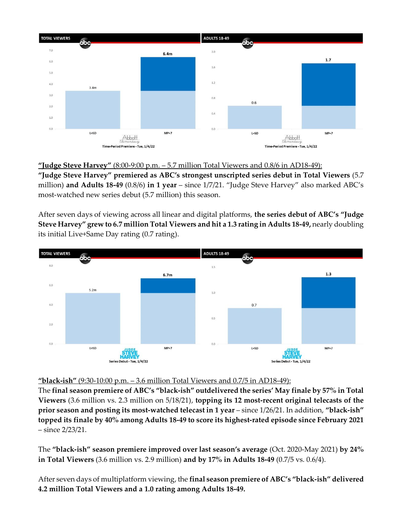

**"Judge Steve Harvey"** (8:00-9:00 p.m. – 5.7 million Total Viewers and 0.8/6 in AD18-49): **"Judge Steve Harvey" premiered as ABC's strongest unscripted series debut in Total Viewers** (5.7 million) **and Adults 18-49** (0.8/6) **in 1 year** – since 1/7/21. "Judge Steve Harvey" also marked ABC's most-watched new series debut (5.7 million) this season.

After seven days of viewing across all linear and digital platforms, **the series debut of ABC's "Judge Steve Harvey" grew to 6.7 million Total Viewers and hit a 1.3 rating in Adults 18-49,** nearly doubling its initial Live+Same Day rating (0.7 rating).



## **"black-ish"** (9:30-10:00 p.m. – 3.6 million Total Viewers and 0.7/5 in AD18-49):

The **final season premiere of ABC's "black-ish" outdelivered the series' May finale by 57% in Total Viewers** (3.6 million vs. 2.3 million on 5/18/21), **topping its 12 most-recent original telecasts of the prior season and posting its most-watched telecast in 1 year** – since 1/26/21. In addition, **"black-ish" topped its finale by 40% among Adults 18-49 to score its highest-rated episode since February 2021** – since 2/23/21.

The **"black-ish" season premiere improved over last season's average** (Oct. 2020-May 2021) **by 24% in Total Viewers** (3.6 million vs. 2.9 million) **and by 17% in Adults 18-49** (0.7/5 vs. 0.6/4).

After seven days of multiplatform viewing, the **final season premiere of ABC's "black-ish" delivered 4.2 million Total Viewers and a 1.0 rating among Adults 18-49.**